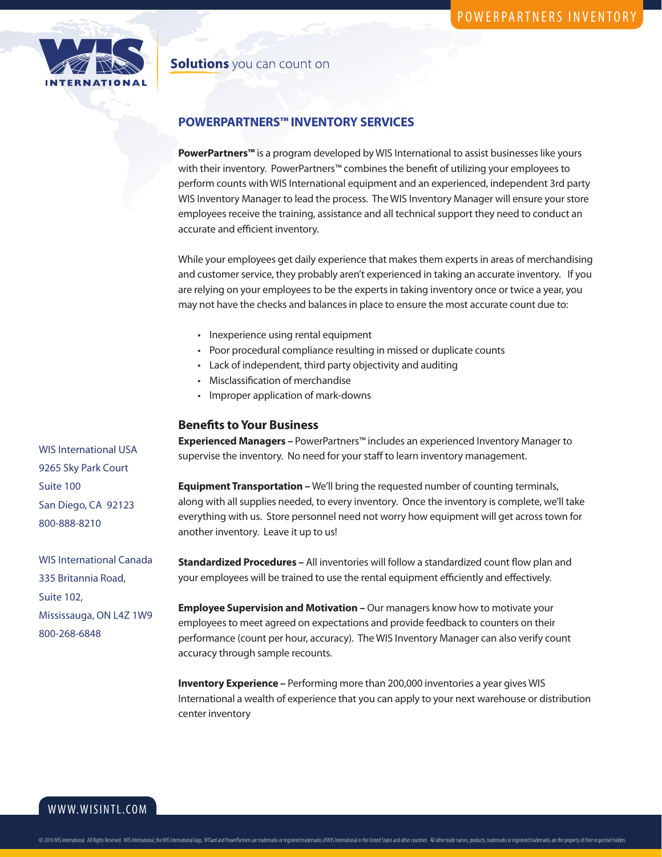

## **Solutions** you can count on

# **POWERPARTNERS™ INVENTORY SERVICES**

**PowerPartners™** is a program developed by WIS International to assist businesses like yours with their inventory. PowerPartners™ combines the benefit of utilizing your employees to perform counts with WIS International equipment and an experienced, independent 3rd party WIS Inventory Manager to lead the process. The WIS Inventory Manager will ensure your store employees receive the training, assistance and all technical support they need to conduct an accurate and efficient inventory.

While your employees get daily experience that makes them experts in areas of merchandising and customer service, they probably aren't experienced in taking an accurate inventory. If you are relying on your employees to be the experts in taking inventory once or twice a year, you may not have the checks and balances in place to ensure the most accurate count due to:

- Inexperience using rental equipment
- Poor procedural compliance resulting in missed or duplicate counts
- Lack of independent, third party objectivity and auditing
- Misclassification of merchandise
- Improper application of mark-downs

#### **Benefits to Your Business**

**Experienced Managers –** PowerPartners™ includes an experienced Inventory Manager to supervise the inventory. No need for your staff to learn inventory management.

**Equipment Transportation –** We'll bring the requested number of counting terminals, along with all supplies needed, to every inventory. Once the inventory is complete, we'll take everything with us. Store personnel need not worry how equipment will get across town for another inventory. Leave it up to us!

**Standardized Procedures –** All inventories will follow a standardized count flow plan and your employees will be trained to use the rental equipment efficiently and effectively.

**Employee Supervision and Motivation –** Our managers know how to motivate your employees to meet agreed on expectations and provide feedback to counters on their performance (count per hour, accuracy). The WIS Inventory Manager can also verify count accuracy through sample recounts.

**Inventory Experience –** Performing more than 200,000 inventories a year gives WIS International a wealth of experience that you can apply to your next warehouse or distribution center inventory

WIS International USA 9265 Sky Park Court Suite 100 San Diego, CA 92123 800-888-8210

WIS International Canada 335 Britannia Road, Suite 102, Mississauga, ON L4Z 1W9 800-268-6848

WWW.WISINTL.COM